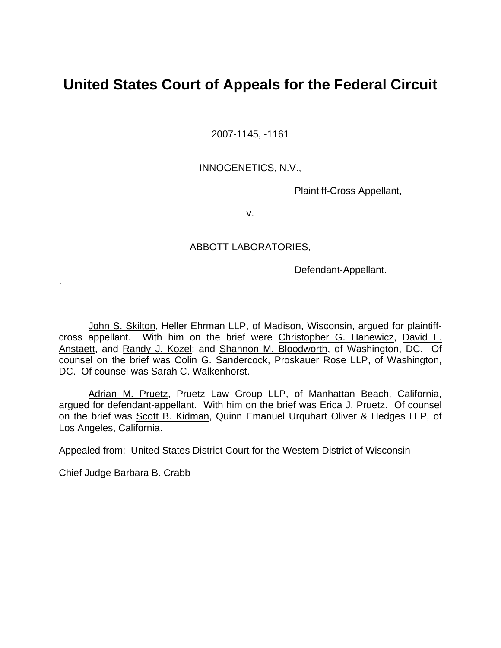## **United States Court of Appeals for the Federal Circuit**

2007-1145, -1161

## INNOGENETICS, N.V.,

Plaintiff-Cross Appellant,

v.

## ABBOTT LABORATORIES,

Defendant-Appellant.

John S. Skilton, Heller Ehrman LLP, of Madison, Wisconsin, argued for plaintiffcross appellant. With him on the brief were Christopher G. Hanewicz, David L. Anstaett, and Randy J. Kozel; and Shannon M. Bloodworth, of Washington, DC. Of counsel on the brief was Colin G. Sandercock, Proskauer Rose LLP, of Washington, DC. Of counsel was **Sarah C. Walkenhorst.** 

Adrian M. Pruetz, Pruetz Law Group LLP, of Manhattan Beach, California, argued for defendant-appellant. With him on the brief was Erica J. Pruetz. Of counsel on the brief was Scott B. Kidman, Quinn Emanuel Urquhart Oliver & Hedges LLP, of Los Angeles, California.

Appealed from: United States District Court for the Western District of Wisconsin

Chief Judge Barbara B. Crabb

.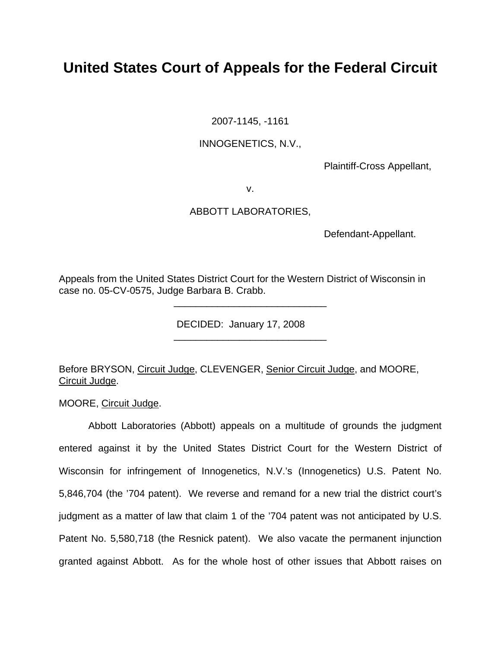# **United States Court of Appeals for the Federal Circuit**

2007-1145, -1161

## INNOGENETICS, N.V.,

Plaintiff-Cross Appellant,

v.

## ABBOTT LABORATORIES,

Defendant-Appellant.

Appeals from the United States District Court for the Western District of Wisconsin in case no. 05-CV-0575, Judge Barbara B. Crabb.

\_\_\_\_\_\_\_\_\_\_\_\_\_\_\_\_\_\_\_\_\_\_\_\_\_\_\_\_

\_\_\_\_\_\_\_\_\_\_\_\_\_\_\_\_\_\_\_\_\_\_\_\_\_\_\_\_

DECIDED: January 17, 2008

Before BRYSON, Circuit Judge, CLEVENGER, Senior Circuit Judge, and MOORE, Circuit Judge.

MOORE, Circuit Judge.

Abbott Laboratories (Abbott) appeals on a multitude of grounds the judgment entered against it by the United States District Court for the Western District of Wisconsin for infringement of Innogenetics, N.V.'s (Innogenetics) U.S. Patent No. 5,846,704 (the '704 patent). We reverse and remand for a new trial the district court's judgment as a matter of law that claim 1 of the '704 patent was not anticipated by U.S. Patent No. 5,580,718 (the Resnick patent). We also vacate the permanent injunction granted against Abbott. As for the whole host of other issues that Abbott raises on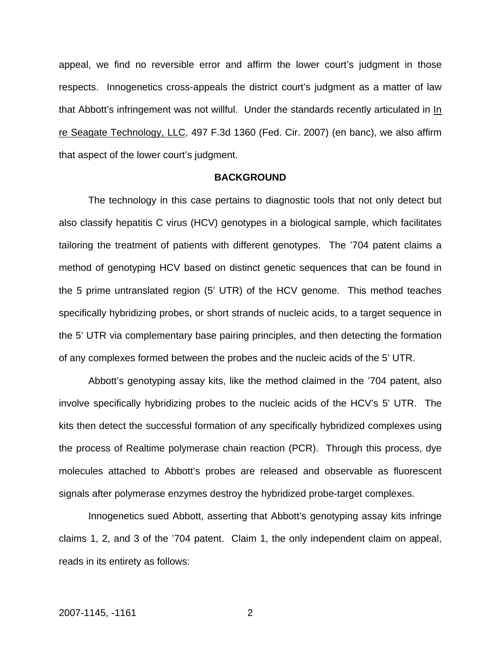appeal, we find no reversible error and affirm the lower court's judgment in those respects. Innogenetics cross-appeals the district court's judgment as a matter of law that Abbott's infringement was not willful. Under the standards recently articulated in In re Seagate Technology, LLC, 497 F.3d 1360 (Fed. Cir. 2007) (en banc), we also affirm that aspect of the lower court's judgment.

#### **BACKGROUND**

The technology in this case pertains to diagnostic tools that not only detect but also classify hepatitis C virus (HCV) genotypes in a biological sample, which facilitates tailoring the treatment of patients with different genotypes. The '704 patent claims a method of genotyping HCV based on distinct genetic sequences that can be found in the 5 prime untranslated region (5' UTR) of the HCV genome. This method teaches specifically hybridizing probes, or short strands of nucleic acids, to a target sequence in the 5' UTR via complementary base pairing principles, and then detecting the formation of any complexes formed between the probes and the nucleic acids of the 5' UTR.

Abbott's genotyping assay kits, like the method claimed in the '704 patent, also involve specifically hybridizing probes to the nucleic acids of the HCV's 5' UTR. The kits then detect the successful formation of any specifically hybridized complexes using the process of Realtime polymerase chain reaction (PCR). Through this process, dye molecules attached to Abbott's probes are released and observable as fluorescent signals after polymerase enzymes destroy the hybridized probe-target complexes.

Innogenetics sued Abbott, asserting that Abbott's genotyping assay kits infringe claims 1, 2, and 3 of the '704 patent. Claim 1, the only independent claim on appeal, reads in its entirety as follows: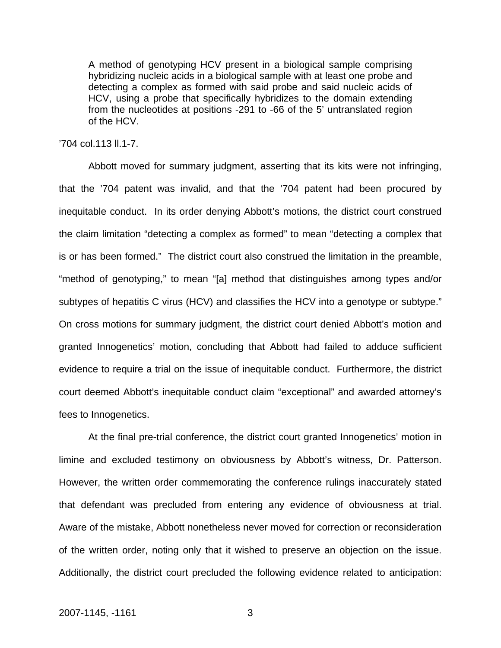A method of genotyping HCV present in a biological sample comprising hybridizing nucleic acids in a biological sample with at least one probe and detecting a complex as formed with said probe and said nucleic acids of HCV, using a probe that specifically hybridizes to the domain extending from the nucleotides at positions -291 to -66 of the 5' untranslated region of the HCV.

### '704 col.113 ll.1-7.

Abbott moved for summary judgment, asserting that its kits were not infringing, that the '704 patent was invalid, and that the '704 patent had been procured by inequitable conduct. In its order denying Abbott's motions, the district court construed the claim limitation "detecting a complex as formed" to mean "detecting a complex that is or has been formed." The district court also construed the limitation in the preamble, "method of genotyping," to mean "[a] method that distinguishes among types and/or subtypes of hepatitis C virus (HCV) and classifies the HCV into a genotype or subtype." On cross motions for summary judgment, the district court denied Abbott's motion and granted Innogenetics' motion, concluding that Abbott had failed to adduce sufficient evidence to require a trial on the issue of inequitable conduct. Furthermore, the district court deemed Abbott's inequitable conduct claim "exceptional" and awarded attorney's fees to Innogenetics.

At the final pre-trial conference, the district court granted Innogenetics' motion in limine and excluded testimony on obviousness by Abbott's witness, Dr. Patterson. However, the written order commemorating the conference rulings inaccurately stated that defendant was precluded from entering any evidence of obviousness at trial. Aware of the mistake, Abbott nonetheless never moved for correction or reconsideration of the written order, noting only that it wished to preserve an objection on the issue. Additionally, the district court precluded the following evidence related to anticipation: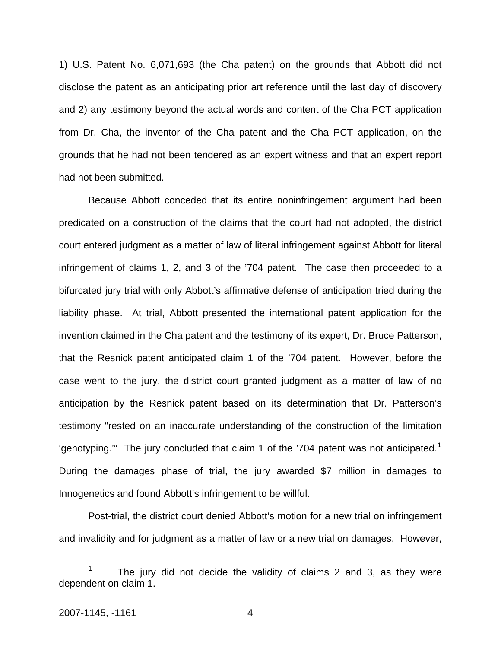1) U.S. Patent No. 6,071,693 (the Cha patent) on the grounds that Abbott did not disclose the patent as an anticipating prior art reference until the last day of discovery and 2) any testimony beyond the actual words and content of the Cha PCT application from Dr. Cha, the inventor of the Cha patent and the Cha PCT application, on the grounds that he had not been tendered as an expert witness and that an expert report had not been submitted.

Because Abbott conceded that its entire noninfringement argument had been predicated on a construction of the claims that the court had not adopted, the district court entered judgment as a matter of law of literal infringement against Abbott for literal infringement of claims 1, 2, and 3 of the '704 patent. The case then proceeded to a bifurcated jury trial with only Abbott's affirmative defense of anticipation tried during the liability phase. At trial, Abbott presented the international patent application for the invention claimed in the Cha patent and the testimony of its expert, Dr. Bruce Patterson, that the Resnick patent anticipated claim 1 of the '704 patent. However, before the case went to the jury, the district court granted judgment as a matter of law of no anticipation by the Resnick patent based on its determination that Dr. Patterson's testimony "rested on an inaccurate understanding of the construction of the limitation 'genotyping."" The jury concluded that claim [1](#page-4-0) of the '704 patent was not anticipated.<sup>1</sup> During the damages phase of trial, the jury awarded \$7 million in damages to Innogenetics and found Abbott's infringement to be willful.

Post-trial, the district court denied Abbott's motion for a new trial on infringement and invalidity and for judgment as a matter of law or a new trial on damages. However,

<span id="page-4-0"></span> $\frac{1}{1}$  The jury did not decide the validity of claims 2 and 3, as they were dependent on claim 1.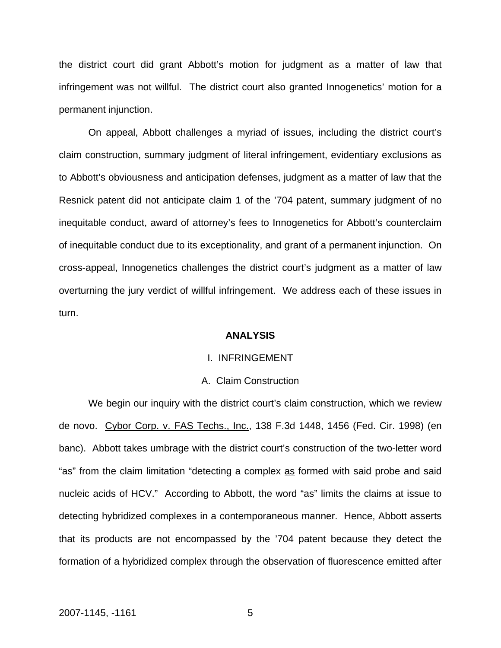the district court did grant Abbott's motion for judgment as a matter of law that infringement was not willful. The district court also granted Innogenetics' motion for a permanent injunction.

On appeal, Abbott challenges a myriad of issues, including the district court's claim construction, summary judgment of literal infringement, evidentiary exclusions as to Abbott's obviousness and anticipation defenses, judgment as a matter of law that the Resnick patent did not anticipate claim 1 of the '704 patent, summary judgment of no inequitable conduct, award of attorney's fees to Innogenetics for Abbott's counterclaim of inequitable conduct due to its exceptionality, and grant of a permanent injunction. On cross-appeal, Innogenetics challenges the district court's judgment as a matter of law overturning the jury verdict of willful infringement. We address each of these issues in turn.

#### **ANALYSIS**

### I. INFRINGEMENT

#### A. Claim Construction

We begin our inquiry with the district court's claim construction, which we review de novo. Cybor Corp. v. FAS Techs., Inc., 138 F.3d 1448, 1456 (Fed. Cir. 1998) (en banc). Abbott takes umbrage with the district court's construction of the two-letter word "as" from the claim limitation "detecting a complex as formed with said probe and said nucleic acids of HCV." According to Abbott, the word "as" limits the claims at issue to detecting hybridized complexes in a contemporaneous manner. Hence, Abbott asserts that its products are not encompassed by the '704 patent because they detect the formation of a hybridized complex through the observation of fluorescence emitted after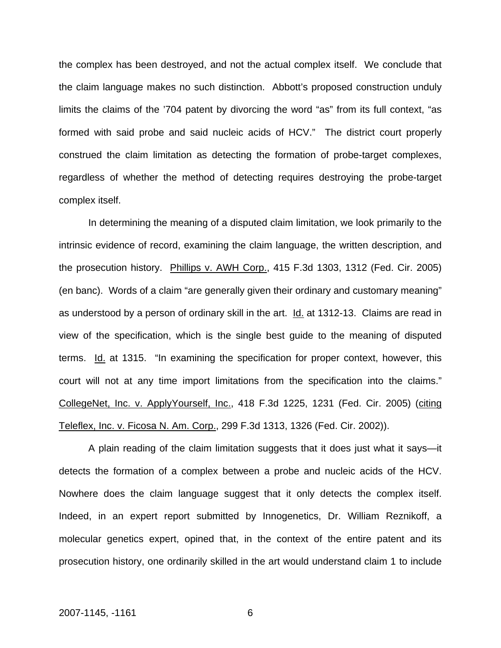the complex has been destroyed, and not the actual complex itself. We conclude that the claim language makes no such distinction. Abbott's proposed construction unduly limits the claims of the '704 patent by divorcing the word "as" from its full context, "as formed with said probe and said nucleic acids of HCV." The district court properly construed the claim limitation as detecting the formation of probe-target complexes, regardless of whether the method of detecting requires destroying the probe-target complex itself.

In determining the meaning of a disputed claim limitation, we look primarily to the intrinsic evidence of record, examining the claim language, the written description, and the prosecution history. Phillips v. AWH Corp., 415 F.3d 1303, 1312 (Fed. Cir. 2005) (en banc). Words of a claim "are generally given their ordinary and customary meaning" as understood by a person of ordinary skill in the art. Id. at 1312-13. Claims are read in view of the specification, which is the single best guide to the meaning of disputed terms. Id. at 1315. "In examining the specification for proper context, however, this court will not at any time import limitations from the specification into the claims." CollegeNet, Inc. v. ApplyYourself, Inc., 418 F.3d 1225, 1231 (Fed. Cir. 2005) (citing Teleflex, Inc. v. Ficosa N. Am. Corp., 299 F.3d 1313, 1326 (Fed. Cir. 2002)).

A plain reading of the claim limitation suggests that it does just what it says—it detects the formation of a complex between a probe and nucleic acids of the HCV. Nowhere does the claim language suggest that it only detects the complex itself. Indeed, in an expert report submitted by Innogenetics, Dr. William Reznikoff, a molecular genetics expert, opined that, in the context of the entire patent and its prosecution history, one ordinarily skilled in the art would understand claim 1 to include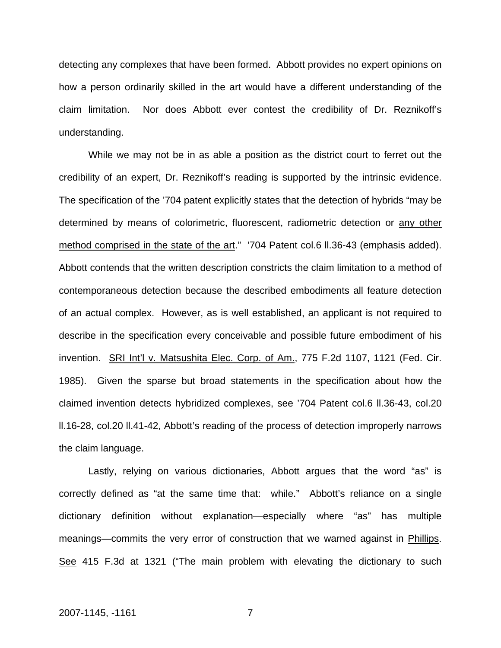detecting any complexes that have been formed. Abbott provides no expert opinions on how a person ordinarily skilled in the art would have a different understanding of the claim limitation. Nor does Abbott ever contest the credibility of Dr. Reznikoff's understanding.

While we may not be in as able a position as the district court to ferret out the credibility of an expert, Dr. Reznikoff's reading is supported by the intrinsic evidence. The specification of the '704 patent explicitly states that the detection of hybrids "may be determined by means of colorimetric, fluorescent, radiometric detection or any other method comprised in the state of the art." '704 Patent col.6 ll.36-43 (emphasis added). Abbott contends that the written description constricts the claim limitation to a method of contemporaneous detection because the described embodiments all feature detection of an actual complex. However, as is well established, an applicant is not required to describe in the specification every conceivable and possible future embodiment of his invention. SRI Int'l v. Matsushita Elec. Corp. of Am., 775 F.2d 1107, 1121 (Fed. Cir. 1985). Given the sparse but broad statements in the specification about how the claimed invention detects hybridized complexes, see '704 Patent col.6 ll.36-43, col.20 ll.16-28, col.20 ll.41-42, Abbott's reading of the process of detection improperly narrows the claim language.

Lastly, relying on various dictionaries, Abbott argues that the word "as" is correctly defined as "at the same time that: while." Abbott's reliance on a single dictionary definition without explanation—especially where "as" has multiple meanings—commits the very error of construction that we warned against in Phillips. See 415 F.3d at 1321 ("The main problem with elevating the dictionary to such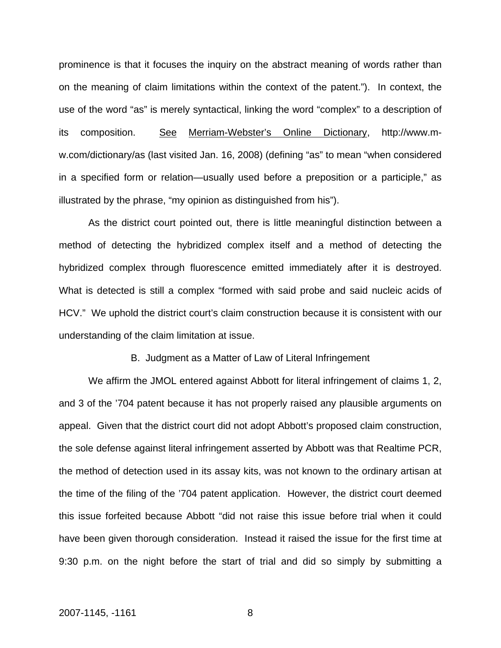prominence is that it focuses the inquiry on the abstract meaning of words rather than on the meaning of claim limitations within the context of the patent."). In context, the use of the word "as" is merely syntactical, linking the word "complex" to a description of its composition. See Merriam-Webster's Online Dictionary, [http://www.m](http://www.m-w.com/dictionary/as)[w.com/dictionary/as](http://www.m-w.com/dictionary/as) (last visited Jan. 16, 2008) (defining "as" to mean "when considered in a specified form or relation—usually used before a preposition or a participle," as illustrated by the phrase, "my opinion as distinguished from his").

As the district court pointed out, there is little meaningful distinction between a method of detecting the hybridized complex itself and a method of detecting the hybridized complex through fluorescence emitted immediately after it is destroyed. What is detected is still a complex "formed with said probe and said nucleic acids of HCV." We uphold the district court's claim construction because it is consistent with our understanding of the claim limitation at issue.

B. Judgment as a Matter of Law of Literal Infringement

We affirm the JMOL entered against Abbott for literal infringement of claims 1, 2, and 3 of the '704 patent because it has not properly raised any plausible arguments on appeal. Given that the district court did not adopt Abbott's proposed claim construction, the sole defense against literal infringement asserted by Abbott was that Realtime PCR, the method of detection used in its assay kits, was not known to the ordinary artisan at the time of the filing of the '704 patent application. However, the district court deemed this issue forfeited because Abbott "did not raise this issue before trial when it could have been given thorough consideration. Instead it raised the issue for the first time at 9:30 p.m. on the night before the start of trial and did so simply by submitting a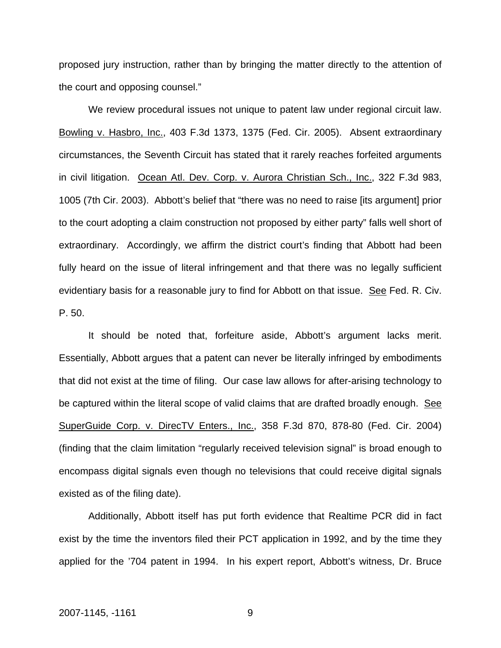proposed jury instruction, rather than by bringing the matter directly to the attention of the court and opposing counsel."

We review procedural issues not unique to patent law under regional circuit law. Bowling v. Hasbro, Inc., 403 F.3d 1373, 1375 (Fed. Cir. 2005). Absent extraordinary circumstances, the Seventh Circuit has stated that it rarely reaches forfeited arguments in civil litigation. Ocean Atl. Dev. Corp. v. Aurora Christian Sch., Inc., 322 F.3d 983, 1005 (7th Cir. 2003). Abbott's belief that "there was no need to raise [its argument] prior to the court adopting a claim construction not proposed by either party" falls well short of extraordinary. Accordingly, we affirm the district court's finding that Abbott had been fully heard on the issue of literal infringement and that there was no legally sufficient evidentiary basis for a reasonable jury to find for Abbott on that issue.See Fed. R. Civ. P. 50.

It should be noted that, forfeiture aside, Abbott's argument lacks merit. Essentially, Abbott argues that a patent can never be literally infringed by embodiments that did not exist at the time of filing. Our case law allows for after-arising technology to be captured within the literal scope of valid claims that are drafted broadly enough. See SuperGuide Corp. v. DirecTV Enters., Inc., 358 F.3d 870, 878-80 (Fed. Cir. 2004) (finding that the claim limitation "regularly received television signal" is broad enough to encompass digital signals even though no televisions that could receive digital signals existed as of the filing date).

Additionally, Abbott itself has put forth evidence that Realtime PCR did in fact exist by the time the inventors filed their PCT application in 1992, and by the time they applied for the '704 patent in 1994. In his expert report, Abbott's witness, Dr. Bruce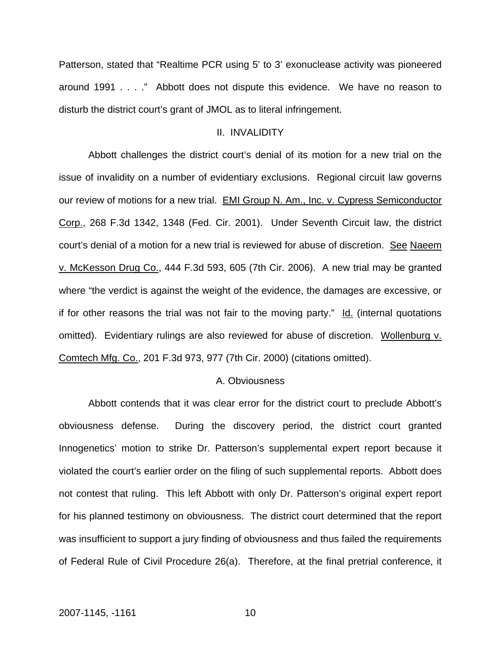Patterson, stated that "Realtime PCR using 5' to 3' exonuclease activity was pioneered around 1991 . . . ." Abbott does not dispute this evidence. We have no reason to disturb the district court's grant of JMOL as to literal infringement.

## II. INVALIDITY

Abbott challenges the district court's denial of its motion for a new trial on the issue of invalidity on a number of evidentiary exclusions. Regional circuit law governs our review of motions for a new trial. [EMI Group N. Am., Inc. v. Cypress Semiconductor](http://web2.westlaw.com/find/default.wl?tf=-1&rs=WLW7.11&referencepositiontype=S&serialnum=2001797574&fn=_top&sv=Split&tc=-1&findtype=Y&referenceposition=1348&db=506&vr=2.0&rp=%2ffind%2fdefault.wl&mt=IntellectualProperty)  [Corp., 268 F.3d 1342, 1348 \(Fed. Cir. 2001\).](http://web2.westlaw.com/find/default.wl?tf=-1&rs=WLW7.11&referencepositiontype=S&serialnum=2001797574&fn=_top&sv=Split&tc=-1&findtype=Y&referenceposition=1348&db=506&vr=2.0&rp=%2ffind%2fdefault.wl&mt=IntellectualProperty) Under Seventh Circuit law, the district court's denial of a motion for a new trial is reviewed for abuse of discretion. See Naeem v. McKesson Drug Co., 444 F.3d 593, 605 (7th Cir. 2006). A new trial may be granted where "the verdict is against the weight of the evidence, the damages are excessive, or if for other reasons the trial was not fair to the moving party." Id. (internal quotations omitted). Evidentiary rulings are also reviewed for abuse of discretion. Wollenburg v. Comtech Mfg. Co., 201 F.3d 973, 977 (7th Cir. 2000) (citations omitted).

#### A. Obviousness

Abbott contends that it was clear error for the district court to preclude Abbott's obviousness defense. During the discovery period, the district court granted Innogenetics' motion to strike Dr. Patterson's supplemental expert report because it violated the court's earlier order on the filing of such supplemental reports. Abbott does not contest that ruling. This left Abbott with only Dr. Patterson's original expert report for his planned testimony on obviousness. The district court determined that the report was insufficient to support a jury finding of obviousness and thus failed the requirements of Federal Rule of Civil Procedure 26(a). Therefore, at the final pretrial conference, it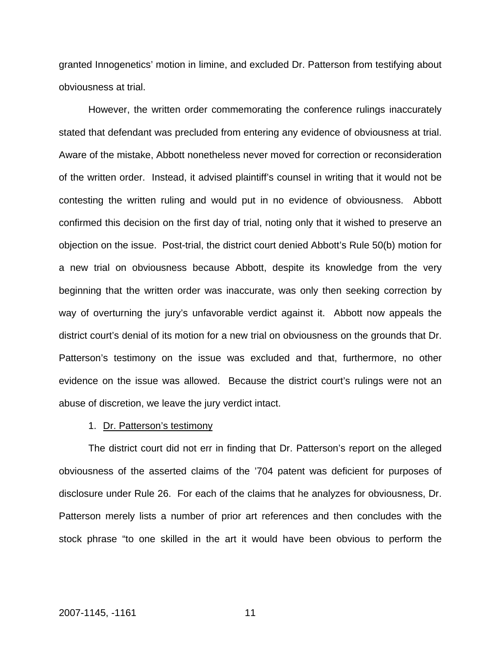granted Innogenetics' motion in limine, and excluded Dr. Patterson from testifying about obviousness at trial.

However, the written order commemorating the conference rulings inaccurately stated that defendant was precluded from entering any evidence of obviousness at trial. Aware of the mistake, Abbott nonetheless never moved for correction or reconsideration of the written order. Instead, it advised plaintiff's counsel in writing that it would not be contesting the written ruling and would put in no evidence of obviousness. Abbott confirmed this decision on the first day of trial, noting only that it wished to preserve an objection on the issue. Post-trial, the district court denied Abbott's Rule 50(b) motion for a new trial on obviousness because Abbott, despite its knowledge from the very beginning that the written order was inaccurate, was only then seeking correction by way of overturning the jury's unfavorable verdict against it. Abbott now appeals the district court's denial of its motion for a new trial on obviousness on the grounds that Dr. Patterson's testimony on the issue was excluded and that, furthermore, no other evidence on the issue was allowed. Because the district court's rulings were not an abuse of discretion, we leave the jury verdict intact.

#### 1. Dr. Patterson's testimony

The district court did not err in finding that Dr. Patterson's report on the alleged obviousness of the asserted claims of the '704 patent was deficient for purposes of disclosure under Rule 26. For each of the claims that he analyzes for obviousness, Dr. Patterson merely lists a number of prior art references and then concludes with the stock phrase "to one skilled in the art it would have been obvious to perform the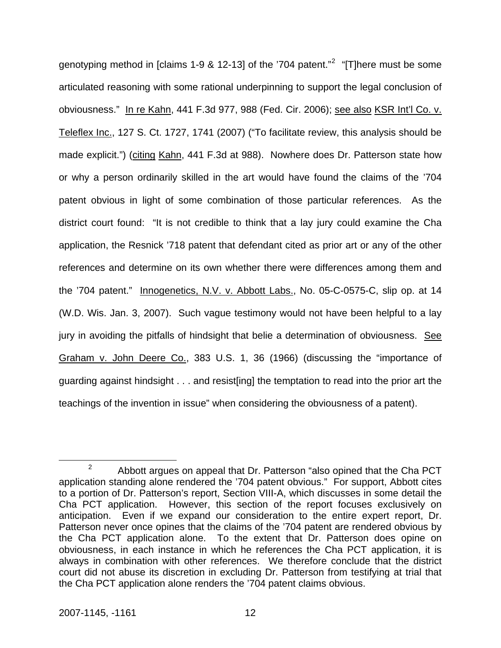genotyping method in [claims 1-9 & 1[2](#page-12-0)-13] of the '704 patent."<sup>2</sup> "[T]here must be some articulated reasoning with some rational underpinning to support the legal conclusion of obviousness." In re Kahn, 441 F.3d 977, 988 (Fed. Cir. 2006); see also KSR Int'l Co. v. Teleflex Inc., 127 S. Ct. 1727, 1741 (2007) ("To facilitate review, this analysis should be made explicit.") (citing Kahn, 441 F.3d at 988). Nowhere does Dr. Patterson state how or why a person ordinarily skilled in the art would have found the claims of the '704 patent obvious in light of some combination of those particular references. As the district court found: "It is not credible to think that a lay jury could examine the Cha application, the Resnick '718 patent that defendant cited as prior art or any of the other references and determine on its own whether there were differences among them and the '704 patent." Innogenetics, N.V. v. Abbott Labs., No. 05-C-0575-C, slip op. at 14 (W.D. Wis. Jan. 3, 2007). Such vague testimony would not have been helpful to a lay jury in avoiding the pitfalls of hindsight that belie a determination of obviousness. See Graham v. John Deere Co., 383 U.S. 1, 36 (1966) (discussing the "importance of guarding against hindsight . . . and resist[ing] the temptation to read into the prior art the teachings of the invention in issue" when considering the obviousness of a patent).

<span id="page-12-0"></span> $\frac{1}{2}$  $\alpha^2$  Abbott argues on appeal that Dr. Patterson "also opined that the Cha PCT application standing alone rendered the '704 patent obvious." For support, Abbott cites to a portion of Dr. Patterson's report, Section VIII-A, which discusses in some detail the Cha PCT application. However, this section of the report focuses exclusively on anticipation. Even if we expand our consideration to the entire expert report, Dr. Patterson never once opines that the claims of the '704 patent are rendered obvious by the Cha PCT application alone. To the extent that Dr. Patterson does opine on obviousness, in each instance in which he references the Cha PCT application, it is always in combination with other references. We therefore conclude that the district court did not abuse its discretion in excluding Dr. Patterson from testifying at trial that the Cha PCT application alone renders the '704 patent claims obvious.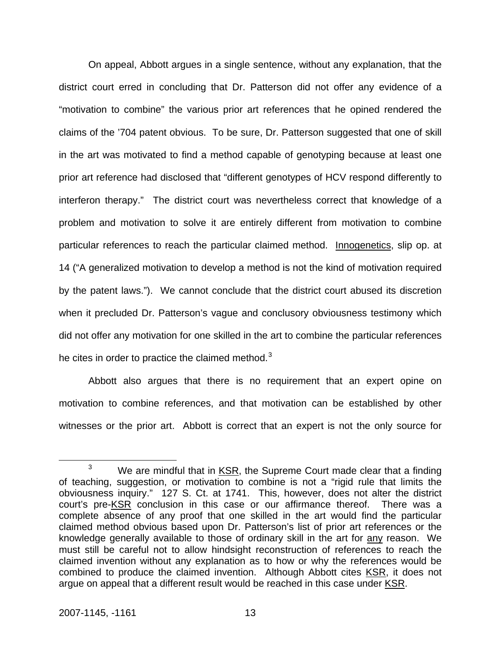On appeal, Abbott argues in a single sentence, without any explanation, that the district court erred in concluding that Dr. Patterson did not offer any evidence of a "motivation to combine" the various prior art references that he opined rendered the claims of the '704 patent obvious. To be sure, Dr. Patterson suggested that one of skill in the art was motivated to find a method capable of genotyping because at least one prior art reference had disclosed that "different genotypes of HCV respond differently to interferon therapy." The district court was nevertheless correct that knowledge of a problem and motivation to solve it are entirely different from motivation to combine particular references to reach the particular claimed method. Innogenetics, slip op. at 14 ("A generalized motivation to develop a method is not the kind of motivation required by the patent laws."). We cannot conclude that the district court abused its discretion when it precluded Dr. Patterson's vague and conclusory obviousness testimony which did not offer any motivation for one skilled in the art to combine the particular references he cites in order to practice the claimed method.<sup>[3](#page-13-0)</sup>

Abbott also argues that there is no requirement that an expert opine on motivation to combine references, and that motivation can be established by other witnesses or the prior art. Abbott is correct that an expert is not the only source for

<span id="page-13-0"></span> $\frac{1}{3}$  $3$  We are mindful that in KSR, the Supreme Court made clear that a finding of teaching, suggestion, or motivation to combine is not a "rigid rule that limits the obviousness inquiry." 127 S. Ct. at 1741. This, however, does not alter the district court's pre-KSR conclusion in this case or our affirmance thereof. There was a complete absence of any proof that one skilled in the art would find the particular claimed method obvious based upon Dr. Patterson's list of prior art references or the knowledge generally available to those of ordinary skill in the art for any reason. We must still be careful not to allow hindsight reconstruction of references to reach the claimed invention without any explanation as to how or why the references would be combined to produce the claimed invention. Although Abbott cites KSR, it does not argue on appeal that a different result would be reached in this case under KSR.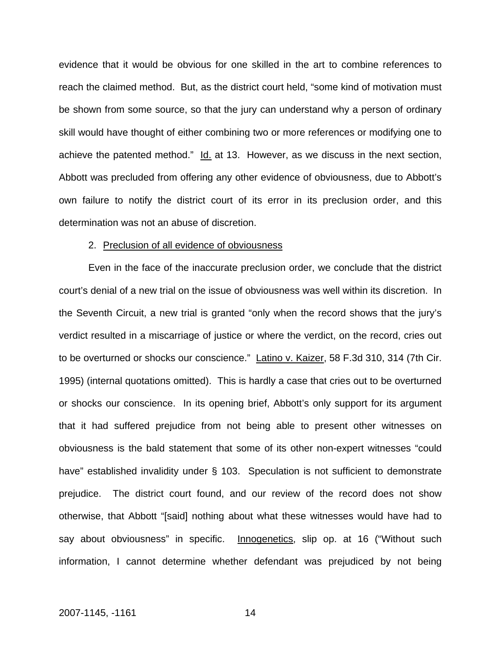evidence that it would be obvious for one skilled in the art to combine references to reach the claimed method. But, as the district court held, "some kind of motivation must be shown from some source, so that the jury can understand why a person of ordinary skill would have thought of either combining two or more references or modifying one to achieve the patented method." Id. at 13. However, as we discuss in the next section, Abbott was precluded from offering any other evidence of obviousness, due to Abbott's own failure to notify the district court of its error in its preclusion order, and this determination was not an abuse of discretion.

#### 2. Preclusion of all evidence of obviousness

Even in the face of the inaccurate preclusion order, we conclude that the district court's denial of a new trial on the issue of obviousness was well within its discretion. In the Seventh Circuit, a new trial is granted "only when the record shows that the jury's verdict resulted in a miscarriage of justice or where the verdict, on the record, cries out to be overturned or shocks our conscience." Latino v. Kaizer, 58 F.3d 310, 314 (7th Cir. 1995) (internal quotations omitted). This is hardly a case that cries out to be overturned or shocks our conscience. In its opening brief, Abbott's only support for its argument that it had suffered prejudice from not being able to present other witnesses on obviousness is the bald statement that some of its other non-expert witnesses "could have" established invalidity under § 103. Speculation is not sufficient to demonstrate prejudice. The district court found, and our review of the record does not show otherwise, that Abbott "[said] nothing about what these witnesses would have had to say about obviousness" in specific. Innogenetics, slip op. at 16 ("Without such information, I cannot determine whether defendant was prejudiced by not being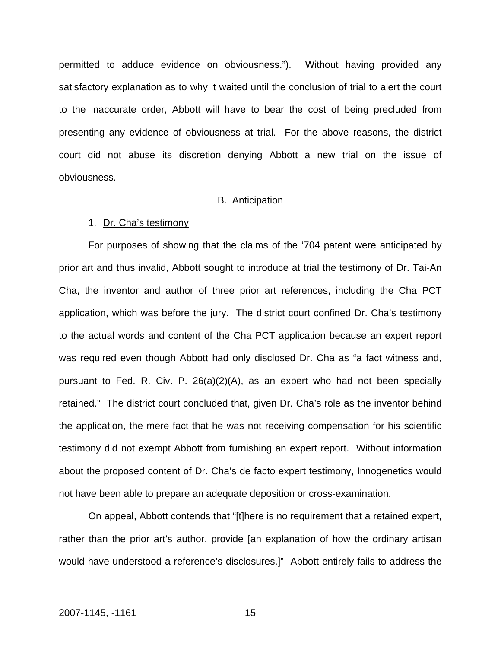permitted to adduce evidence on obviousness."). Without having provided any satisfactory explanation as to why it waited until the conclusion of trial to alert the court to the inaccurate order, Abbott will have to bear the cost of being precluded from presenting any evidence of obviousness at trial. For the above reasons, the district court did not abuse its discretion denying Abbott a new trial on the issue of obviousness.

#### B. Anticipation

#### 1. Dr. Cha's testimony

For purposes of showing that the claims of the '704 patent were anticipated by prior art and thus invalid, Abbott sought to introduce at trial the testimony of Dr. Tai-An Cha, the inventor and author of three prior art references, including the Cha PCT application, which was before the jury. The district court confined Dr. Cha's testimony to the actual words and content of the Cha PCT application because an expert report was required even though Abbott had only disclosed Dr. Cha as "a fact witness and, pursuant to Fed. R. Civ. P. 26(a)(2)(A), as an expert who had not been specially retained." The district court concluded that, given Dr. Cha's role as the inventor behind the application, the mere fact that he was not receiving compensation for his scientific testimony did not exempt Abbott from furnishing an expert report. Without information about the proposed content of Dr. Cha's de facto expert testimony, Innogenetics would not have been able to prepare an adequate deposition or cross-examination.

On appeal, Abbott contends that "[t]here is no requirement that a retained expert, rather than the prior art's author, provide [an explanation of how the ordinary artisan would have understood a reference's disclosures.]" Abbott entirely fails to address the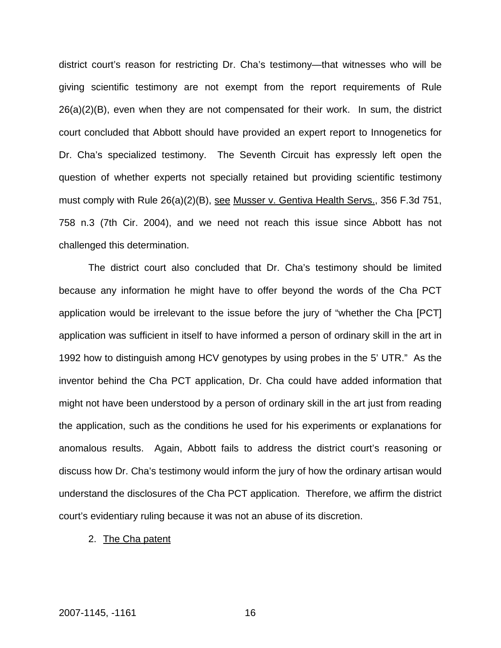district court's reason for restricting Dr. Cha's testimony—that witnesses who will be giving scientific testimony are not exempt from the report requirements of Rule 26(a)(2)(B), even when they are not compensated for their work. In sum, the district court concluded that Abbott should have provided an expert report to Innogenetics for Dr. Cha's specialized testimony. The Seventh Circuit has expressly left open the question of whether experts not specially retained but providing scientific testimony must comply with Rule 26(a)(2)(B), see Musser v. Gentiva Health Servs., 356 F.3d 751, 758 n.3 (7th Cir. 2004), and we need not reach this issue since Abbott has not challenged this determination.

The district court also concluded that Dr. Cha's testimony should be limited because any information he might have to offer beyond the words of the Cha PCT application would be irrelevant to the issue before the jury of "whether the Cha [PCT] application was sufficient in itself to have informed a person of ordinary skill in the art in 1992 how to distinguish among HCV genotypes by using probes in the 5' UTR." As the inventor behind the Cha PCT application, Dr. Cha could have added information that might not have been understood by a person of ordinary skill in the art just from reading the application, such as the conditions he used for his experiments or explanations for anomalous results. Again, Abbott fails to address the district court's reasoning or discuss how Dr. Cha's testimony would inform the jury of how the ordinary artisan would understand the disclosures of the Cha PCT application.Therefore, we affirm the district court's evidentiary ruling because it was not an abuse of its discretion.

2. The Cha patent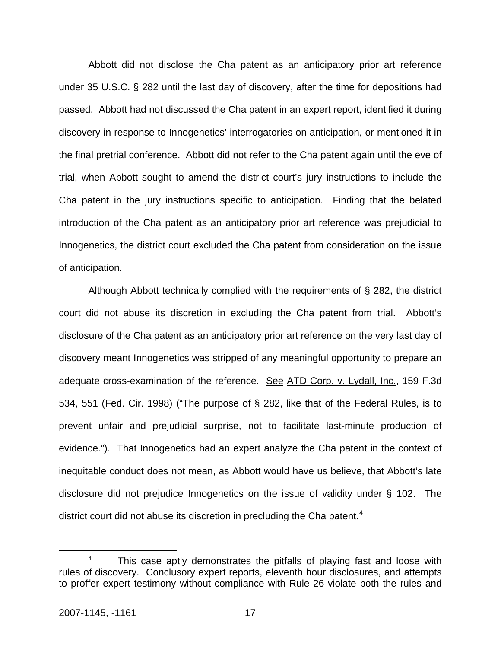Abbott did not disclose the Cha patent as an anticipatory prior art reference under 35 U.S.C. § 282 until the last day of discovery, after the time for depositions had passed. Abbott had not discussed the Cha patent in an expert report, identified it during discovery in response to Innogenetics' interrogatories on anticipation, or mentioned it in the final pretrial conference. Abbott did not refer to the Cha patent again until the eve of trial, when Abbott sought to amend the district court's jury instructions to include the Cha patent in the jury instructions specific to anticipation. Finding that the belated introduction of the Cha patent as an anticipatory prior art reference was prejudicial to Innogenetics, the district court excluded the Cha patent from consideration on the issue of anticipation.

 Although Abbott technically complied with the requirements of § 282, the district court did not abuse its discretion in excluding the Cha patent from trial. Abbott's disclosure of the Cha patent as an anticipatory prior art reference on the very last day of discovery meant Innogenetics was stripped of any meaningful opportunity to prepare an adequate cross-examination of the reference. See [ATD Corp. v. Lydall, Inc., 159 F.3d](http://web2.westlaw.com/find/default.wl?tf=-1&rs=WLW7.11&referencepositiontype=S&serialnum=1998205787&fn=_top&sv=Split&tc=-1&findtype=Y&referenceposition=551&db=506&vr=2.0&rp=%2ffind%2fdefault.wl&mt=IntellectualProperty)  [534, 551 \(Fed. Cir. 1998\)](http://web2.westlaw.com/find/default.wl?tf=-1&rs=WLW7.11&referencepositiontype=S&serialnum=1998205787&fn=_top&sv=Split&tc=-1&findtype=Y&referenceposition=551&db=506&vr=2.0&rp=%2ffind%2fdefault.wl&mt=IntellectualProperty) ("The purpose of [§ 282](http://web2.westlaw.com/find/default.wl?tf=-1&rs=WLW7.11&fn=_top&sv=Split&tc=-1&findtype=L&docname=35USCAS282&db=1000546&vr=2.0&rp=%2ffind%2fdefault.wl&mt=Federal), like that of the Federal Rules, is to prevent unfair and prejudicial surprise, not to facilitate last-minute production of evidence."). That Innogenetics had an expert analyze the Cha patent in the context of inequitable conduct does not mean, as Abbott would have us believe, that Abbott's late disclosure did not prejudice Innogenetics on the issue of validity under § 102. The district court did not abuse its discretion in precluding the Cha patent.<sup>[4](#page-17-0)</sup>

<span id="page-17-0"></span> $\overline{a}$ <sup>4</sup> This case aptly demonstrates the pitfalls of playing fast and loose with rules of discovery. Conclusory expert reports, eleventh hour disclosures, and attempts to proffer expert testimony without compliance with Rule 26 violate both the rules and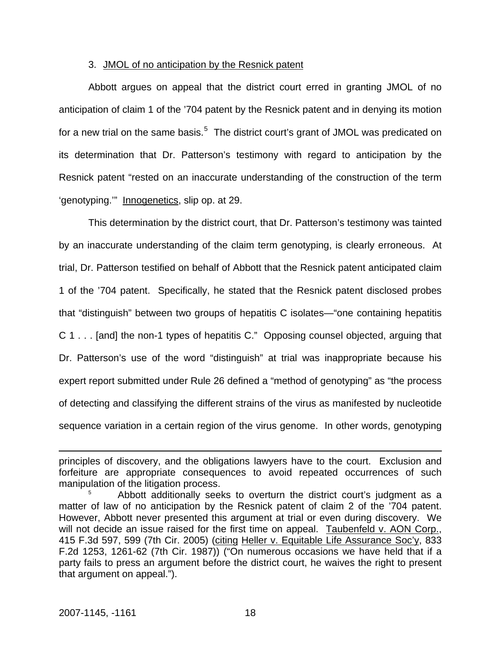## 3. JMOL of no anticipation by the Resnick patent

Abbott argues on appeal that the district court erred in granting JMOL of no anticipation of claim 1 of the '704 patent by the Resnick patent and in denying its motion for a new trial on the same basis.<sup>[5](#page-18-0)</sup> The district court's grant of JMOL was predicated on its determination that Dr. Patterson's testimony with regard to anticipation by the Resnick patent "rested on an inaccurate understanding of the construction of the term 'genotyping.'" Innogenetics, slip op. at 29.

This determination by the district court, that Dr. Patterson's testimony was tainted by an inaccurate understanding of the claim term genotyping, is clearly erroneous. At trial, Dr. Patterson testified on behalf of Abbott that the Resnick patent anticipated claim 1 of the '704 patent. Specifically, he stated that the Resnick patent disclosed probes that "distinguish" between two groups of hepatitis C isolates—"one containing hepatitis C 1 . . . [and] the non-1 types of hepatitis C." Opposing counsel objected, arguing that Dr. Patterson's use of the word "distinguish" at trial was inappropriate because his expert report submitted under Rule 26 defined a "method of genotyping" as "the process of detecting and classifying the different strains of the virus as manifested by nucleotide sequence variation in a certain region of the virus genome. In other words, genotyping

 $\overline{a}$ 

principles of discovery, and the obligations lawyers have to the court. Exclusion and forfeiture are appropriate consequences to avoid repeated occurrences of such manipulation of the litigation process.

<span id="page-18-0"></span><sup>5</sup> Abbott additionally seeks to overturn the district court's judgment as a matter of law of no anticipation by the Resnick patent of claim 2 of the '704 patent. However, Abbott never presented this argument at trial or even during discovery. We will not decide an issue raised for the first time on appeal. Taubenfeld v. AON Corp., [415 F.3d 597, 599 \(7th Cir. 2005\)](http://web2.westlaw.com/find/default.wl?tf=-1&rs=WLW7.11&referencepositiontype=S&serialnum=2006901140&fn=_top&sv=Split&tc=-1&findtype=Y&referenceposition=599&db=506&vr=2.0&rp=%2ffind%2fdefault.wl&mt=IntellectualProperty) (citing [Heller v. Equitable Life Assurance Soc'y, 833](http://web2.westlaw.com/find/default.wl?tf=-1&rs=WLW7.11&referencepositiontype=S&serialnum=1987141896&fn=_top&sv=Split&tc=-1&findtype=Y&referenceposition=1261&db=350&vr=2.0&rp=%2ffind%2fdefault.wl&mt=IntellectualProperty)  [F.2d 1253, 1261-62 \(7th Cir. 1987\)](http://web2.westlaw.com/find/default.wl?tf=-1&rs=WLW7.11&referencepositiontype=S&serialnum=1987141896&fn=_top&sv=Split&tc=-1&findtype=Y&referenceposition=1261&db=350&vr=2.0&rp=%2ffind%2fdefault.wl&mt=IntellectualProperty)) ("On numerous occasions we have held that if a party fails to press an argument before the district court, he waives the right to present that argument on appeal.").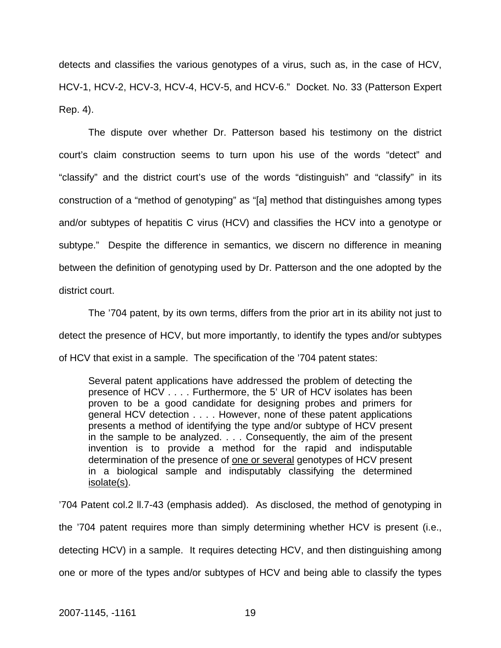detects and classifies the various genotypes of a virus, such as, in the case of HCV, HCV-1, HCV-2, HCV-3, HCV-4, HCV-5, and HCV-6." Docket. No. 33 (Patterson Expert Rep. 4).

The dispute over whether Dr. Patterson based his testimony on the district court's claim construction seems to turn upon his use of the words "detect" and "classify" and the district court's use of the words "distinguish" and "classify" in its construction of a "method of genotyping" as "[a] method that distinguishes among types and/or subtypes of hepatitis C virus (HCV) and classifies the HCV into a genotype or subtype." Despite the difference in semantics, we discern no difference in meaning between the definition of genotyping used by Dr. Patterson and the one adopted by the district court.

The '704 patent, by its own terms, differs from the prior art in its ability not just to detect the presence of HCV, but more importantly, to identify the types and/or subtypes of HCV that exist in a sample. The specification of the '704 patent states:

Several patent applications have addressed the problem of detecting the presence of HCV . . . . Furthermore, the 5' UR of HCV isolates has been proven to be a good candidate for designing probes and primers for general HCV detection . . . . However, none of these patent applications presents a method of identifying the type and/or subtype of HCV present in the sample to be analyzed. . . . Consequently, the aim of the present invention is to provide a method for the rapid and indisputable determination of the presence of one or several genotypes of HCV present in a biological sample and indisputably classifying the determined isolate(s).

'704 Patent col.2 ll.7-43 (emphasis added). As disclosed, the method of genotyping in the '704 patent requires more than simply determining whether HCV is present (i.e., detecting HCV) in a sample. It requires detecting HCV, and then distinguishing among one or more of the types and/or subtypes of HCV and being able to classify the types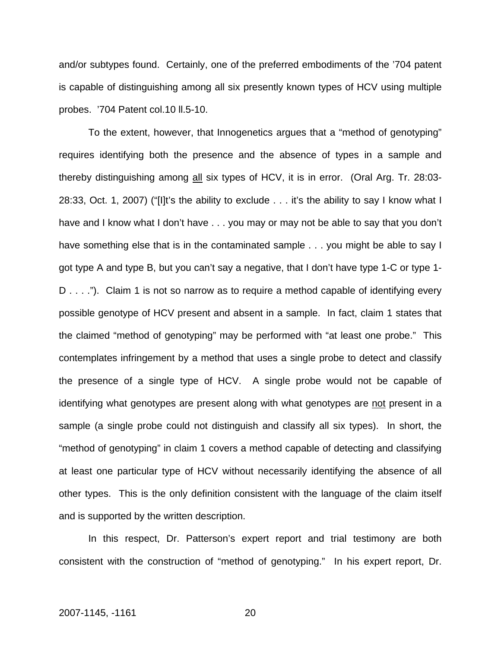and/or subtypes found. Certainly, one of the preferred embodiments of the '704 patent is capable of distinguishing among all six presently known types of HCV using multiple probes. '704 Patent col.10 ll.5-10.

To the extent, however, that Innogenetics argues that a "method of genotyping" requires identifying both the presence and the absence of types in a sample and thereby distinguishing among all six types of HCV, it is in error. (Oral Arg. Tr. 28:03- 28:33, Oct. 1, 2007) ("[I]t's the ability to exclude . . . it's the ability to say I know what I have and I know what I don't have . . . you may or may not be able to say that you don't have something else that is in the contaminated sample . . . you might be able to say I got type A and type B, but you can't say a negative, that I don't have type 1-C or type 1- D . . . ."). Claim 1 is not so narrow as to require a method capable of identifying every possible genotype of HCV present and absent in a sample. In fact, claim 1 states that the claimed "method of genotyping" may be performed with "at least one probe." This contemplates infringement by a method that uses a single probe to detect and classify the presence of a single type of HCV. A single probe would not be capable of identifying what genotypes are present along with what genotypes are not present in a sample (a single probe could not distinguish and classify all six types). In short, the "method of genotyping" in claim 1 covers a method capable of detecting and classifying at least one particular type of HCV without necessarily identifying the absence of all other types. This is the only definition consistent with the language of the claim itself and is supported by the written description.

In this respect, Dr. Patterson's expert report and trial testimony are both consistent with the construction of "method of genotyping." In his expert report, Dr.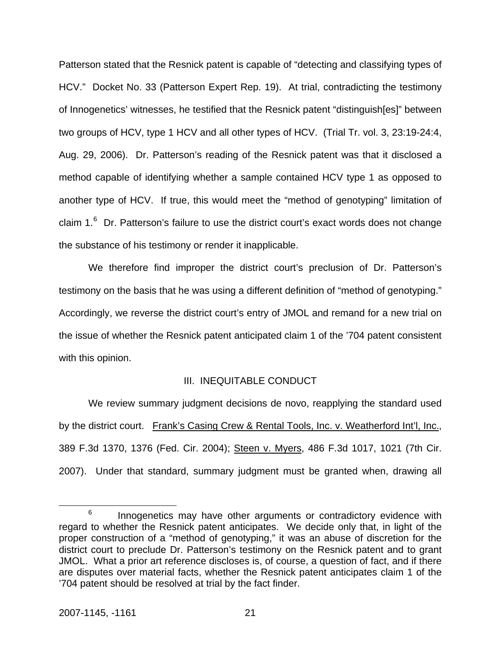Patterson stated that the Resnick patent is capable of "detecting and classifying types of HCV." Docket No. 33 (Patterson Expert Rep. 19). At trial, contradicting the testimony of Innogenetics' witnesses, he testified that the Resnick patent "distinguish[es]" between two groups of HCV, type 1 HCV and all other types of HCV. (Trial Tr. vol. 3, 23:19-24:4, Aug. 29, 2006). Dr. Patterson's reading of the Resnick patent was that it disclosed a method capable of identifying whether a sample contained HCV type 1 as opposed to another type of HCV. If true, this would meet the "method of genotyping" limitation of claim  $1<sup>6</sup>$  $1<sup>6</sup>$  $1<sup>6</sup>$  Dr. Patterson's failure to use the district court's exact words does not change the substance of his testimony or render it inapplicable.

We therefore find improper the district court's preclusion of Dr. Patterson's testimony on the basis that he was using a different definition of "method of genotyping." Accordingly, we reverse the district court's entry of JMOL and remand for a new trial on the issue of whether the Resnick patent anticipated claim 1 of the '704 patent consistent with this opinion.

#### III. INEQUITABLE CONDUCT

We review summary judgment decisions de novo, reapplying the standard used by the district court. Frank's Casing Crew & Rental Tools, Inc. v. Weatherford Int'l, Inc., 389 F.3d 1370, 1376 (Fed. Cir. 2004); Steen v. Myers, 486 F.3d 1017, 1021 (7th Cir. 2007). Under that standard, summary judgment must be granted when, drawing all

<span id="page-21-0"></span> <sup>6</sup>  $6$  Innogenetics may have other arguments or contradictory evidence with regard to whether the Resnick patent anticipates. We decide only that, in light of the proper construction of a "method of genotyping," it was an abuse of discretion for the district court to preclude Dr. Patterson's testimony on the Resnick patent and to grant JMOL. What a prior art reference discloses is, of course, a question of fact, and if there are disputes over material facts, whether the Resnick patent anticipates claim 1 of the '704 patent should be resolved at trial by the fact finder.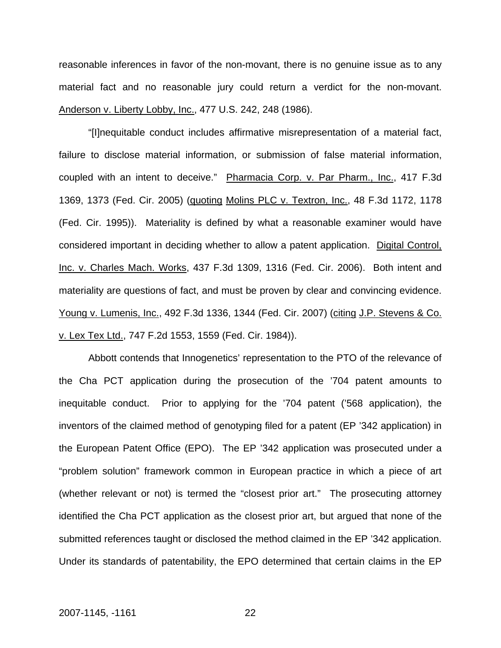reasonable inferences in favor of the non-movant, there is no genuine issue as to any material fact and no reasonable jury could return a verdict for the non-movant. Anderson v. Liberty Lobby, Inc., 477 U.S. 242, 248 (1986).

"[I]nequitable conduct includes affirmative misrepresentation of a material fact, failure to disclose material information, or submission of false material information, coupled with an intent to deceive." Pharmacia Corp. v. Par Pharm., Inc., 417 F.3d 1369, 1373 (Fed. Cir. 2005) (quoting Molins PLC v. Textron, Inc., 48 F.3d 1172, 1178 (Fed. Cir. 1995)). Materiality is defined by what a reasonable examiner would have considered important in deciding whether to allow a patent application. Digital Control, Inc. v. Charles Mach. Works, 437 F.3d 1309, 1316 (Fed. Cir. 2006). Both intent and materiality are questions of fact, and must be proven by clear and convincing evidence. Young v. Lumenis, Inc., 492 F.3d 1336, 1344 (Fed. Cir. 2007) (citing J.P. Stevens & Co. v. Lex Tex Ltd., 747 F.2d 1553, 1559 (Fed. Cir. 1984)).

 Abbott contends that Innogenetics' representation to the PTO of the relevance of the Cha PCT application during the prosecution of the '704 patent amounts to inequitable conduct. Prior to applying for the '704 patent ('568 application), the inventors of the claimed method of genotyping filed for a patent (EP '342 application) in the European Patent Office (EPO). The EP '342 application was prosecuted under a "problem solution" framework common in European practice in which a piece of art (whether relevant or not) is termed the "closest prior art." The prosecuting attorney identified the Cha PCT application as the closest prior art, but argued that none of the submitted references taught or disclosed the method claimed in the EP '342 application. Under its standards of patentability, the EPO determined that certain claims in the EP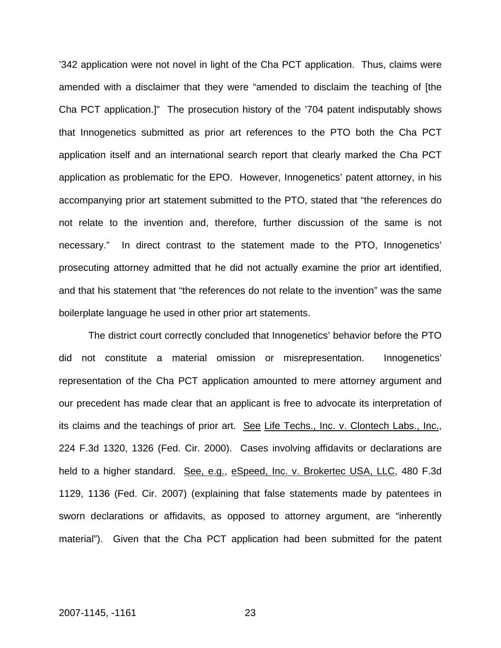'342 application were not novel in light of the Cha PCT application. Thus, claims were amended with a disclaimer that they were "amended to disclaim the teaching of [the Cha PCT application.]" The prosecution history of the '704 patent indisputably shows that Innogenetics submitted as prior art references to the PTO both the Cha PCT application itself and an international search report that clearly marked the Cha PCT application as problematic for the EPO. However, Innogenetics' patent attorney, in his accompanying prior art statement submitted to the PTO, stated that "the references do not relate to the invention and, therefore, further discussion of the same is not necessary." In direct contrast to the statement made to the PTO, Innogenetics' prosecuting attorney admitted that he did not actually examine the prior art identified, and that his statement that "the references do not relate to the invention" was the same boilerplate language he used in other prior art statements.

The district court correctly concluded that Innogenetics' behavior before the PTO did not constitute a material omission or misrepresentation. Innogenetics' representation of the Cha PCT application amounted to mere attorney argument and our precedent has made clear that an applicant is free to advocate its interpretation of its claims and the teachings of prior art. See Life Techs., Inc. v. Clontech Labs., Inc., 224 F.3d 1320, 1326 (Fed. Cir. 2000). Cases involving affidavits or declarations are held to a higher standard. See, e.g., eSpeed, Inc. v. Brokertec USA, LLC, 480 F.3d 1129, 1136 (Fed. Cir. 2007) (explaining that false statements made by patentees in sworn declarations or affidavits, as opposed to attorney argument, are "inherently material"). Given that the Cha PCT application had been submitted for the patent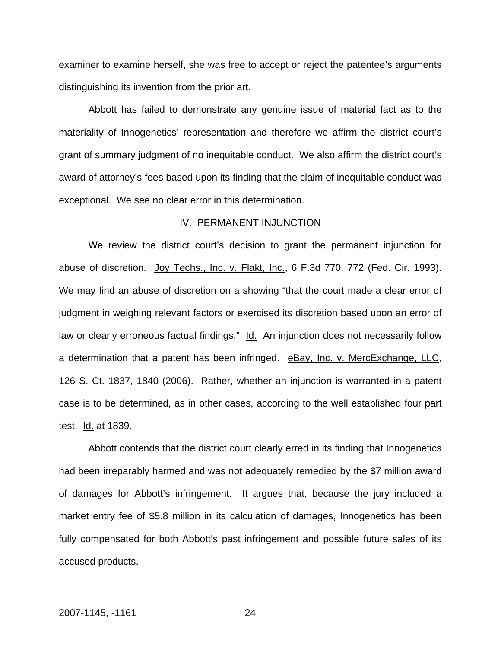examiner to examine herself, she was free to accept or reject the patentee's arguments distinguishing its invention from the prior art.

Abbott has failed to demonstrate any genuine issue of material fact as to the materiality of Innogenetics' representation and therefore we affirm the district court's grant of summary judgment of no inequitable conduct. We also affirm the district court's award of attorney's fees based upon its finding that the claim of inequitable conduct was exceptional. We see no clear error in this determination.

## IV. PERMANENT INJUNCTION

We review the district court's decision to grant the permanent injunction for abuse of discretion. [Joy Techs., Inc. v. Flakt, Inc., 6 F.3d 770, 772 \(Fed. Cir. 1993\).](http://web2.westlaw.com/find/default.wl?tf=-1&rs=WLW7.11&referencepositiontype=S&serialnum=1993193128&fn=_top&sv=Split&tc=-1&findtype=Y&referenceposition=772&db=506&vr=2.0&rp=%2ffind%2fdefault.wl&mt=IntellectualProperty) We may find an abuse of discretion on a showing "that the court made a clear error of judgment in weighing relevant factors or exercised its discretion based upon an error of law or clearly erroneous factual findings." [Id.](http://web2.westlaw.com/find/default.wl?rs=WLW7.11&serialnum=1996282185&sv=Split&fn=_top&findtype=Y&tc=-1&tf=-1&vr=2.0&rp=%2ffind%2fdefault.wl&mt=IntellectualProperty) An injunction does not necessarily follow a determination that a patent has been infringed. eBay, Inc. v. MercExchange, LLC, 126 S. Ct. 1837, 1840 (2006). Rather, whether an injunction is warranted in a patent case is to be determined, as in other cases, according to the well established four part test. **Id.** at 1839.

Abbott contends that the district court clearly erred in its finding that Innogenetics had been irreparably harmed and was not adequately remedied by the \$7 million award of damages for Abbott's infringement. It argues that, because the jury included a market entry fee of \$5.8 million in its calculation of damages, Innogenetics has been fully compensated for both Abbott's past infringement and possible future sales of its accused products.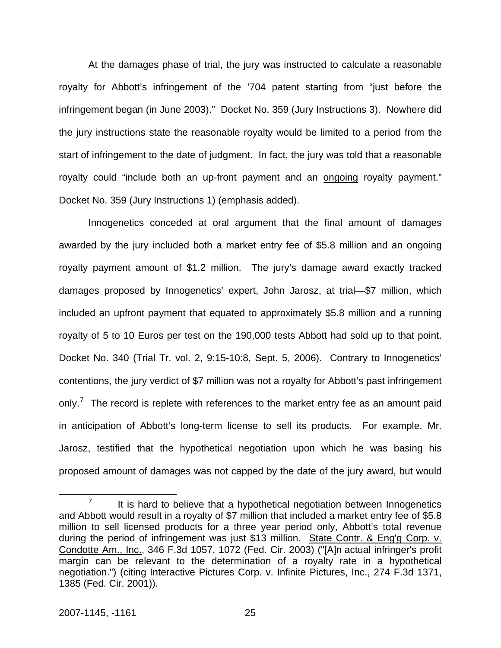At the damages phase of trial, the jury was instructed to calculate a reasonable royalty for Abbott's infringement of the '704 patent starting from "just before the infringement began (in June 2003)." Docket No. 359 (Jury Instructions 3). Nowhere did the jury instructions state the reasonable royalty would be limited to a period from the start of infringement to the date of judgment. In fact, the jury was told that a reasonable royalty could "include both an up-front payment and an ongoing royalty payment." Docket No. 359 (Jury Instructions 1) (emphasis added).

Innogenetics conceded at oral argument that the final amount of damages awarded by the jury included both a market entry fee of \$5.8 million and an ongoing royalty payment amount of \$1.2 million. The jury's damage award exactly tracked damages proposed by Innogenetics' expert, John Jarosz, at trial—\$7 million, which included an upfront payment that equated to approximately \$5.8 million and a running royalty of 5 to 10 Euros per test on the 190,000 tests Abbott had sold up to that point. Docket No. 340 (Trial Tr. vol. 2, 9:15-10:8, Sept. 5, 2006). Contrary to Innogenetics' contentions, the jury verdict of \$7 million was not a royalty for Abbott's past infringement only.<sup>[7](#page-25-0)</sup> The record is replete with references to the market entry fee as an amount paid in anticipation of Abbott's long-term license to sell its products. For example, Mr. Jarosz, testified that the hypothetical negotiation upon which he was basing his proposed amount of damages was not capped by the date of the jury award, but would

<span id="page-25-0"></span> $\overline{7}$  $I<sup>7</sup>$  It is hard to believe that a hypothetical negotiation between Innogenetics and Abbott would result in a royalty of \$7 million that included a market entry fee of \$5.8 million to sell licensed products for a three year period only, Abbott's total revenue during the period of infringement was just \$13 million. State Contr. & Eng'g Corp. v. Condotte Am., Inc., 346 F.3d 1057, 1072 (Fed. Cir. 2003) ("[A]n actual infringer's profit margin can be relevant to the determination of a royalty rate in a hypothetical negotiation.") (citing Interactive Pictures Corp. v. Infinite Pictures, Inc., 274 F.3d 1371, 1385 (Fed. Cir. 2001)).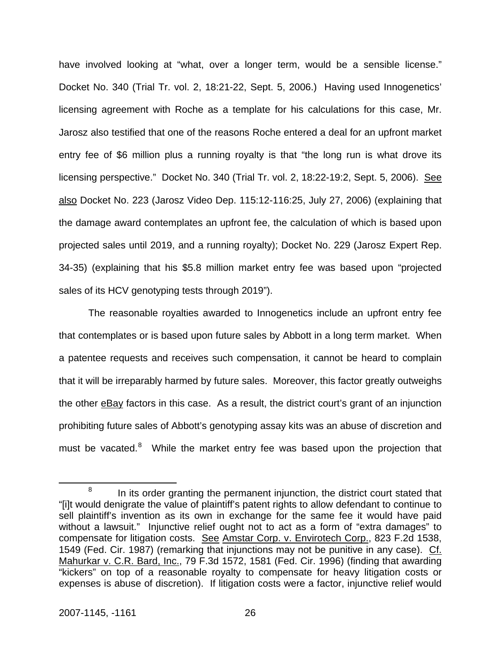have involved looking at "what, over a longer term, would be a sensible license." Docket No. 340 (Trial Tr. vol. 2, 18:21-22, Sept. 5, 2006.) Having used Innogenetics' licensing agreement with Roche as a template for his calculations for this case, Mr. Jarosz also testified that one of the reasons Roche entered a deal for an upfront market entry fee of \$6 million plus a running royalty is that "the long run is what drove its licensing perspective." Docket No. 340 (Trial Tr. vol. 2, 18:22-19:2, Sept. 5, 2006). See also Docket No. 223 (Jarosz Video Dep. 115:12-116:25, July 27, 2006) (explaining that the damage award contemplates an upfront fee, the calculation of which is based upon projected sales until 2019, and a running royalty); Docket No. 229 (Jarosz Expert Rep. 34-35) (explaining that his \$5.8 million market entry fee was based upon "projected sales of its HCV genotyping tests through 2019").

The reasonable royalties awarded to Innogenetics include an upfront entry fee that contemplates or is based upon future sales by Abbott in a long term market. When a patentee requests and receives such compensation, it cannot be heard to complain that it will be irreparably harmed by future sales. Moreover, this factor greatly outweighs the other eBay factors in this case. As a result, the district court's grant of an injunction prohibiting future sales of Abbott's genotyping assay kits was an abuse of discretion and must be vacated.<sup>[8](#page-26-0)</sup> While the market entry fee was based upon the projection that

<span id="page-26-0"></span> <sup>8</sup>  $8$  In its order granting the permanent injunction, the district court stated that "[i]t would denigrate the value of plaintiff's patent rights to allow defendant to continue to sell plaintiff's invention as its own in exchange for the same fee it would have paid without a lawsuit." Injunctive relief ought not to act as a form of "extra damages" to compensate for litigation costs. See [Amstar Corp. v. Envirotech Corp., 823 F.2d 1538,](http://web2.westlaw.com/find/default.wl?tf=-1&rs=WLW7.11&referencepositiontype=S&serialnum=1987084494&fn=_top&sv=Split&tc=-1&findtype=Y&referenceposition=1549&db=350&vr=2.0&rp=%2ffind%2fdefault.wl&mt=IntellectualProperty)  [1549 \(Fed. Cir. 1987\)](http://web2.westlaw.com/find/default.wl?tf=-1&rs=WLW7.11&referencepositiontype=S&serialnum=1987084494&fn=_top&sv=Split&tc=-1&findtype=Y&referenceposition=1549&db=350&vr=2.0&rp=%2ffind%2fdefault.wl&mt=IntellectualProperty) (remarking that injunctions may not be punitive in any case). Cf. Mahurkar v. C.R. Bard, Inc., 79 F.3d 1572, 1581 (Fed. Cir. 1996) (finding that awarding "kickers" on top of a reasonable royalty to compensate for heavy litigation costs or expenses is abuse of discretion). If litigation costs were a factor, injunctive relief would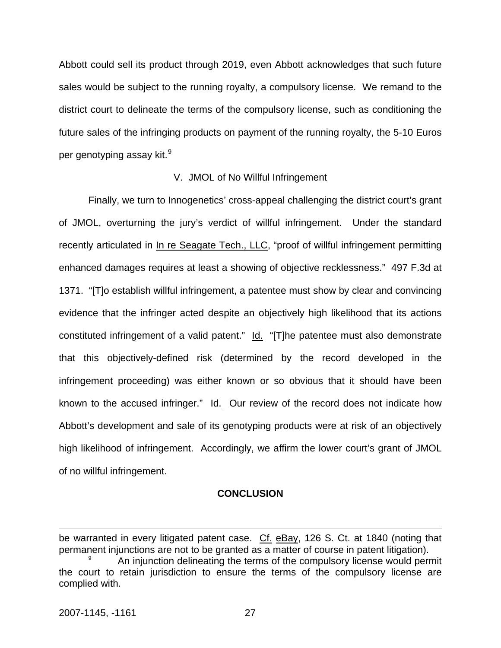Abbott could sell its product through 2019, even Abbott acknowledges that such future sales would be subject to the running royalty, a compulsory license. We remand to the district court to delineate the terms of the compulsory license, such as conditioning the future sales of the infringing products on payment of the running royalty, the 5-10 Euros per genotyping assay kit. $^9$  $^9$ 

#### V. JMOL of No Willful Infringement

Finally, we turn to Innogenetics' cross-appeal challenging the district court's grant of JMOL, overturning the jury's verdict of willful infringement. Under the standard recently articulated in In re Seagate Tech., LLC, "proof of willful infringement permitting enhanced damages requires at least a showing of objective recklessness." 497 F.3d at 1371. "[T]o establish willful infringement, a patentee must show by clear and convincing evidence that the infringer acted despite an objectively high likelihood that its actions constituted infringement of a valid patent." Id. "[T]he patentee must also demonstrate that this objectively-defined risk (determined by the record developed in the infringement proceeding) was either known or so obvious that it should have been known to the accused infringer." Id. Our review of the record does not indicate how Abbott's development and sale of its genotyping products were at risk of an objectively high likelihood of infringement. Accordingly, we affirm the lower court's grant of JMOL of no willful infringement.

#### **CONCLUSION**

 $\overline{a}$ 

be warranted in every litigated patent case. Cf. eBay, 126 S. Ct. at 1840 (noting that permanent injunctions are not to be granted as a matter of course in patent litigation). 9 An injunction delineating the terms of the compulsory license would permit

<span id="page-27-0"></span>the court to retain jurisdiction to ensure the terms of the compulsory license are complied with.